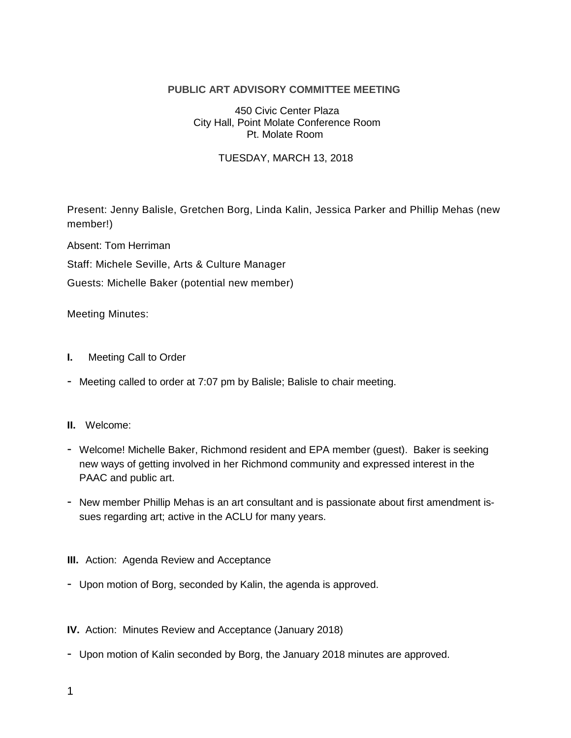# **PUBLIC ART ADVISORY COMMITTEE MEETING**

### 450 Civic Center Plaza City Hall, Point Molate Conference Room Pt. Molate Room

## TUESDAY, MARCH 13, 2018

Present: Jenny Balisle, Gretchen Borg, Linda Kalin, Jessica Parker and Phillip Mehas (new member!)

Absent: Tom Herriman

Staff: Michele Seville, Arts & Culture Manager

Guests: Michelle Baker (potential new member)

Meeting Minutes:

- **I.** Meeting Call to Order
- Meeting called to order at 7:07 pm by Balisle; Balisle to chair meeting.

### **II.** Welcome:

- Welcome! Michelle Baker, Richmond resident and EPA member (guest). Baker is seeking new ways of getting involved in her Richmond community and expressed interest in the PAAC and public art.
- New member Phillip Mehas is an art consultant and is passionate about first amendment issues regarding art; active in the ACLU for many years.

### **III.** Action: Agenda Review and Acceptance

- Upon motion of Borg, seconded by Kalin, the agenda is approved.

## **IV.** Action: Minutes Review and Acceptance (January 2018)

- Upon motion of Kalin seconded by Borg, the January 2018 minutes are approved.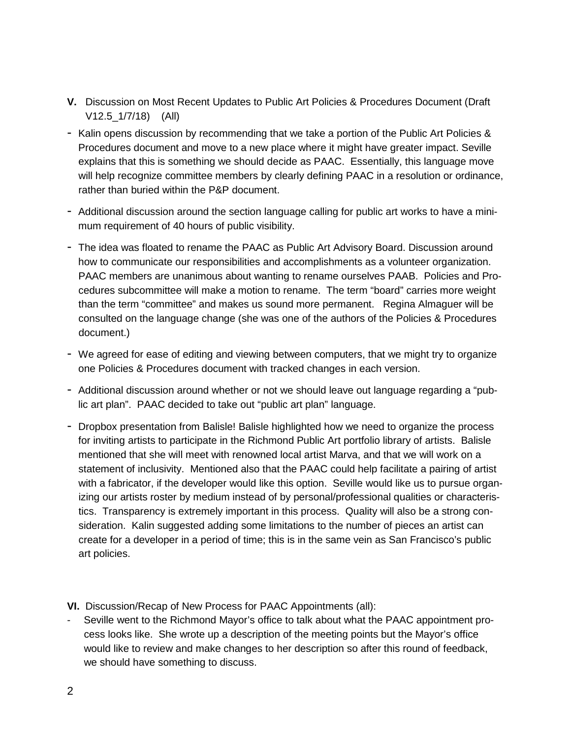- **V.** Discussion on Most Recent Updates to Public Art Policies & Procedures Document (Draft V12.5\_1/7/18) (All)
- Kalin opens discussion by recommending that we take a portion of the Public Art Policies & Procedures document and move to a new place where it might have greater impact. Seville explains that this is something we should decide as PAAC. Essentially, this language move will help recognize committee members by clearly defining PAAC in a resolution or ordinance, rather than buried within the P&P document.
- Additional discussion around the section language calling for public art works to have a minimum requirement of 40 hours of public visibility.
- The idea was floated to rename the PAAC as Public Art Advisory Board. Discussion around how to communicate our responsibilities and accomplishments as a volunteer organization. PAAC members are unanimous about wanting to rename ourselves PAAB. Policies and Procedures subcommittee will make a motion to rename. The term "board" carries more weight than the term "committee" and makes us sound more permanent. Regina Almaguer will be consulted on the language change (she was one of the authors of the Policies & Procedures document.)
- We agreed for ease of editing and viewing between computers, that we might try to organize one Policies & Procedures document with tracked changes in each version.
- Additional discussion around whether or not we should leave out language regarding a "public art plan". PAAC decided to take out "public art plan" language.
- Dropbox presentation from Balisle! Balisle highlighted how we need to organize the process for inviting artists to participate in the Richmond Public Art portfolio library of artists. Balisle mentioned that she will meet with renowned local artist Marva, and that we will work on a statement of inclusivity. Mentioned also that the PAAC could help facilitate a pairing of artist with a fabricator, if the developer would like this option. Seville would like us to pursue organizing our artists roster by medium instead of by personal/professional qualities or characteristics. Transparency is extremely important in this process. Quality will also be a strong consideration. Kalin suggested adding some limitations to the number of pieces an artist can create for a developer in a period of time; this is in the same vein as San Francisco's public art policies.
- **VI.** Discussion/Recap of New Process for PAAC Appointments (all):
- Seville went to the Richmond Mayor's office to talk about what the PAAC appointment process looks like. She wrote up a description of the meeting points but the Mayor's office would like to review and make changes to her description so after this round of feedback, we should have something to discuss.